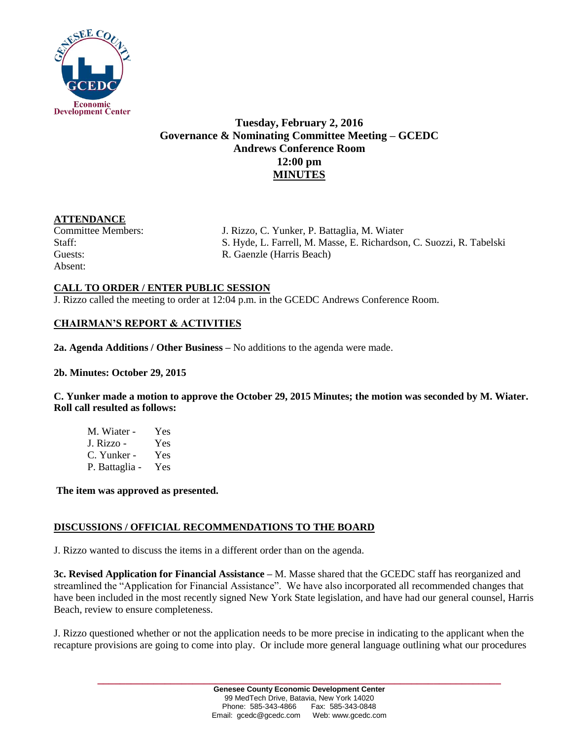

# **Tuesday, February 2, 2016 Governance & Nominating Committee Meeting – GCEDC Andrews Conference Room 12:00 pm MINUTES**

### **ATTENDANCE**

Absent:

Committee Members: J. Rizzo, C. Yunker, P. Battaglia, M. Wiater Staff: S. Hyde, L. Farrell, M. Masse, E. Richardson, C. Suozzi, R. Tabelski Guests: R. Gaenzle (Harris Beach)

## **CALL TO ORDER / ENTER PUBLIC SESSION**

J. Rizzo called the meeting to order at 12:04 p.m. in the GCEDC Andrews Conference Room.

## **CHAIRMAN'S REPORT & ACTIVITIES**

**2a. Agenda Additions / Other Business –** No additions to the agenda were made.

**2b. Minutes: October 29, 2015**

**C. Yunker made a motion to approve the October 29, 2015 Minutes; the motion was seconded by M. Wiater. Roll call resulted as follows:**

| M. Wiater -    | Yes |
|----------------|-----|
| J. Rizzo -     | Yes |
| C. Yunker -    | Yes |
| P. Battaglia - | Yes |

**The item was approved as presented.** 

## **DISCUSSIONS / OFFICIAL RECOMMENDATIONS TO THE BOARD**

J. Rizzo wanted to discuss the items in a different order than on the agenda.

**3c. Revised Application for Financial Assistance –** M. Masse shared that the GCEDC staff has reorganized and streamlined the "Application for Financial Assistance". We have also incorporated all recommended changes that have been included in the most recently signed New York State legislation, and have had our general counsel, Harris Beach, review to ensure completeness.

J. Rizzo questioned whether or not the application needs to be more precise in indicating to the applicant when the recapture provisions are going to come into play. Or include more general language outlining what our procedures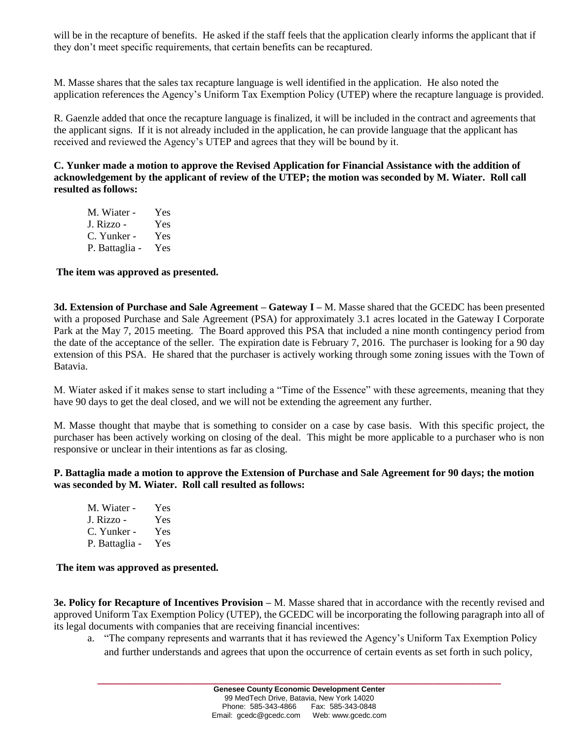will be in the recapture of benefits. He asked if the staff feels that the application clearly informs the applicant that if they don't meet specific requirements, that certain benefits can be recaptured.

M. Masse shares that the sales tax recapture language is well identified in the application. He also noted the application references the Agency's Uniform Tax Exemption Policy (UTEP) where the recapture language is provided.

R. Gaenzle added that once the recapture language is finalized, it will be included in the contract and agreements that the applicant signs. If it is not already included in the application, he can provide language that the applicant has received and reviewed the Agency's UTEP and agrees that they will be bound by it.

**C. Yunker made a motion to approve the Revised Application for Financial Assistance with the addition of acknowledgement by the applicant of review of the UTEP; the motion was seconded by M. Wiater. Roll call resulted as follows:**

| M. Wiater -    | Yes |
|----------------|-----|
| J. Rizzo -     | Yes |
| C. Yunker -    | Yes |
| P. Battaglia - | Yes |

### **The item was approved as presented.**

**3d. Extension of Purchase and Sale Agreement – Gateway I –** M. Masse shared that the GCEDC has been presented with a proposed Purchase and Sale Agreement (PSA) for approximately 3.1 acres located in the Gateway I Corporate Park at the May 7, 2015 meeting. The Board approved this PSA that included a nine month contingency period from the date of the acceptance of the seller. The expiration date is February 7, 2016. The purchaser is looking for a 90 day extension of this PSA. He shared that the purchaser is actively working through some zoning issues with the Town of Batavia.

M. Wiater asked if it makes sense to start including a "Time of the Essence" with these agreements, meaning that they have 90 days to get the deal closed, and we will not be extending the agreement any further.

M. Masse thought that maybe that is something to consider on a case by case basis. With this specific project, the purchaser has been actively working on closing of the deal. This might be more applicable to a purchaser who is non responsive or unclear in their intentions as far as closing.

#### **P. Battaglia made a motion to approve the Extension of Purchase and Sale Agreement for 90 days; the motion was seconded by M. Wiater. Roll call resulted as follows:**

| M. Wiater -    | Yes |
|----------------|-----|
| J. Rizzo -     | Yes |
| C. Yunker -    | Yes |
| P. Battaglia - | Yes |

#### **The item was approved as presented.**

**3e. Policy for Recapture of Incentives Provision –** M. Masse shared that in accordance with the recently revised and approved Uniform Tax Exemption Policy (UTEP), the GCEDC will be incorporating the following paragraph into all of its legal documents with companies that are receiving financial incentives:

a. "The company represents and warrants that it has reviewed the Agency's Uniform Tax Exemption Policy and further understands and agrees that upon the occurrence of certain events as set forth in such policy,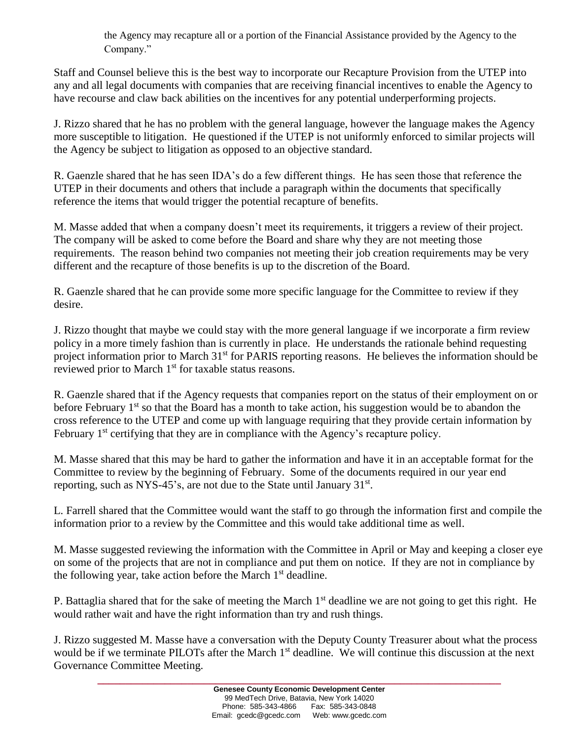the Agency may recapture all or a portion of the Financial Assistance provided by the Agency to the Company."

Staff and Counsel believe this is the best way to incorporate our Recapture Provision from the UTEP into any and all legal documents with companies that are receiving financial incentives to enable the Agency to have recourse and claw back abilities on the incentives for any potential underperforming projects.

J. Rizzo shared that he has no problem with the general language, however the language makes the Agency more susceptible to litigation. He questioned if the UTEP is not uniformly enforced to similar projects will the Agency be subject to litigation as opposed to an objective standard.

R. Gaenzle shared that he has seen IDA's do a few different things. He has seen those that reference the UTEP in their documents and others that include a paragraph within the documents that specifically reference the items that would trigger the potential recapture of benefits.

M. Masse added that when a company doesn't meet its requirements, it triggers a review of their project. The company will be asked to come before the Board and share why they are not meeting those requirements. The reason behind two companies not meeting their job creation requirements may be very different and the recapture of those benefits is up to the discretion of the Board.

R. Gaenzle shared that he can provide some more specific language for the Committee to review if they desire.

J. Rizzo thought that maybe we could stay with the more general language if we incorporate a firm review policy in a more timely fashion than is currently in place. He understands the rationale behind requesting project information prior to March 31<sup>st</sup> for PARIS reporting reasons. He believes the information should be reviewed prior to March 1<sup>st</sup> for taxable status reasons.

R. Gaenzle shared that if the Agency requests that companies report on the status of their employment on or before February  $1<sup>st</sup>$  so that the Board has a month to take action, his suggestion would be to abandon the cross reference to the UTEP and come up with language requiring that they provide certain information by February 1<sup>st</sup> certifying that they are in compliance with the Agency's recapture policy.

M. Masse shared that this may be hard to gather the information and have it in an acceptable format for the Committee to review by the beginning of February. Some of the documents required in our year end reporting, such as NYS-45's, are not due to the State until January  $31<sup>st</sup>$ .

L. Farrell shared that the Committee would want the staff to go through the information first and compile the information prior to a review by the Committee and this would take additional time as well.

M. Masse suggested reviewing the information with the Committee in April or May and keeping a closer eye on some of the projects that are not in compliance and put them on notice. If they are not in compliance by the following year, take action before the March  $1<sup>st</sup>$  deadline.

P. Battaglia shared that for the sake of meeting the March 1<sup>st</sup> deadline we are not going to get this right. He would rather wait and have the right information than try and rush things.

J. Rizzo suggested M. Masse have a conversation with the Deputy County Treasurer about what the process would be if we terminate PILOTs after the March 1<sup>st</sup> deadline. We will continue this discussion at the next Governance Committee Meeting.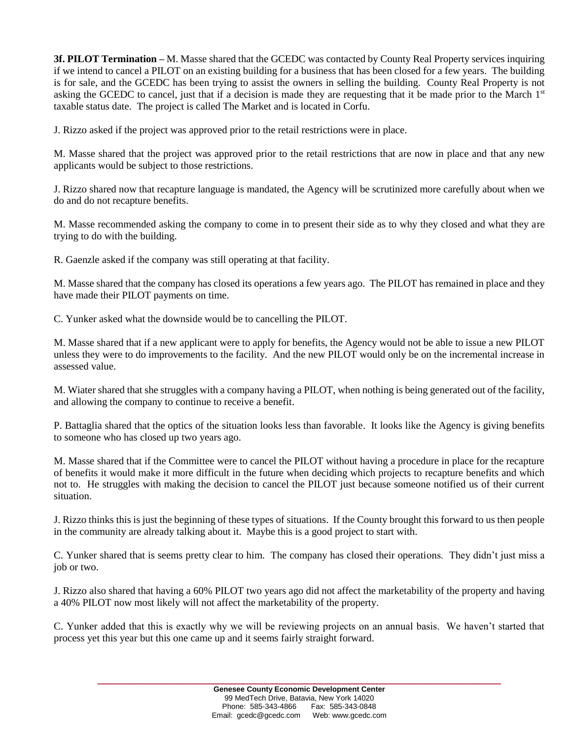**3f. PILOT Termination –** M. Masse shared that the GCEDC was contacted by County Real Property services inquiring if we intend to cancel a PILOT on an existing building for a business that has been closed for a few years. The building is for sale, and the GCEDC has been trying to assist the owners in selling the building. County Real Property is not asking the GCEDC to cancel, just that if a decision is made they are requesting that it be made prior to the March 1<sup>st</sup> taxable status date. The project is called The Market and is located in Corfu.

J. Rizzo asked if the project was approved prior to the retail restrictions were in place.

M. Masse shared that the project was approved prior to the retail restrictions that are now in place and that any new applicants would be subject to those restrictions.

J. Rizzo shared now that recapture language is mandated, the Agency will be scrutinized more carefully about when we do and do not recapture benefits.

M. Masse recommended asking the company to come in to present their side as to why they closed and what they are trying to do with the building.

R. Gaenzle asked if the company was still operating at that facility.

M. Masse shared that the company has closed its operations a few years ago. The PILOT has remained in place and they have made their PILOT payments on time.

C. Yunker asked what the downside would be to cancelling the PILOT.

M. Masse shared that if a new applicant were to apply for benefits, the Agency would not be able to issue a new PILOT unless they were to do improvements to the facility. And the new PILOT would only be on the incremental increase in assessed value.

M. Wiater shared that she struggles with a company having a PILOT, when nothing is being generated out of the facility, and allowing the company to continue to receive a benefit.

P. Battaglia shared that the optics of the situation looks less than favorable. It looks like the Agency is giving benefits to someone who has closed up two years ago.

M. Masse shared that if the Committee were to cancel the PILOT without having a procedure in place for the recapture of benefits it would make it more difficult in the future when deciding which projects to recapture benefits and which not to. He struggles with making the decision to cancel the PILOT just because someone notified us of their current situation.

J. Rizzo thinks this is just the beginning of these types of situations. If the County brought this forward to us then people in the community are already talking about it. Maybe this is a good project to start with.

C. Yunker shared that is seems pretty clear to him. The company has closed their operations. They didn't just miss a job or two.

J. Rizzo also shared that having a 60% PILOT two years ago did not affect the marketability of the property and having a 40% PILOT now most likely will not affect the marketability of the property.

C. Yunker added that this is exactly why we will be reviewing projects on an annual basis. We haven't started that process yet this year but this one came up and it seems fairly straight forward.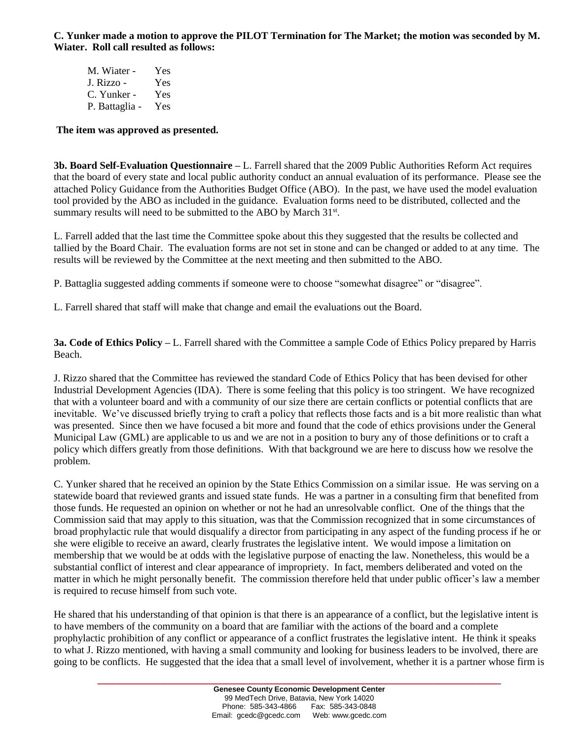**C. Yunker made a motion to approve the PILOT Termination for The Market; the motion was seconded by M. Wiater. Roll call resulted as follows:**

M. Wiater - Yes J. Rizzo - Yes C. Yunker - Yes P. Battaglia - Yes

#### **The item was approved as presented.**

**3b. Board Self-Evaluation Questionnaire –** L. Farrell shared that the 2009 Public Authorities Reform Act requires that the board of every state and local public authority conduct an annual evaluation of its performance. Please see the attached Policy Guidance from the Authorities Budget Office (ABO). In the past, we have used the model evaluation tool provided by the ABO as included in the guidance. Evaluation forms need to be distributed, collected and the summary results will need to be submitted to the ABO by March  $31<sup>st</sup>$ .

L. Farrell added that the last time the Committee spoke about this they suggested that the results be collected and tallied by the Board Chair. The evaluation forms are not set in stone and can be changed or added to at any time. The results will be reviewed by the Committee at the next meeting and then submitted to the ABO.

P. Battaglia suggested adding comments if someone were to choose "somewhat disagree" or "disagree".

L. Farrell shared that staff will make that change and email the evaluations out the Board.

**3a. Code of Ethics Policy –** L. Farrell shared with the Committee a sample Code of Ethics Policy prepared by Harris Beach.

J. Rizzo shared that the Committee has reviewed the standard Code of Ethics Policy that has been devised for other Industrial Development Agencies (IDA). There is some feeling that this policy is too stringent. We have recognized that with a volunteer board and with a community of our size there are certain conflicts or potential conflicts that are inevitable. We've discussed briefly trying to craft a policy that reflects those facts and is a bit more realistic than what was presented. Since then we have focused a bit more and found that the code of ethics provisions under the General Municipal Law (GML) are applicable to us and we are not in a position to bury any of those definitions or to craft a policy which differs greatly from those definitions. With that background we are here to discuss how we resolve the problem.

C. Yunker shared that he received an opinion by the State Ethics Commission on a similar issue. He was serving on a statewide board that reviewed grants and issued state funds. He was a partner in a consulting firm that benefited from those funds. He requested an opinion on whether or not he had an unresolvable conflict. One of the things that the Commission said that may apply to this situation, was that the Commission recognized that in some circumstances of broad prophylactic rule that would disqualify a director from participating in any aspect of the funding process if he or she were eligible to receive an award, clearly frustrates the legislative intent. We would impose a limitation on membership that we would be at odds with the legislative purpose of enacting the law. Nonetheless, this would be a substantial conflict of interest and clear appearance of impropriety. In fact, members deliberated and voted on the matter in which he might personally benefit. The commission therefore held that under public officer's law a member is required to recuse himself from such vote.

He shared that his understanding of that opinion is that there is an appearance of a conflict, but the legislative intent is to have members of the community on a board that are familiar with the actions of the board and a complete prophylactic prohibition of any conflict or appearance of a conflict frustrates the legislative intent. He think it speaks to what J. Rizzo mentioned, with having a small community and looking for business leaders to be involved, there are going to be conflicts. He suggested that the idea that a small level of involvement, whether it is a partner whose firm is